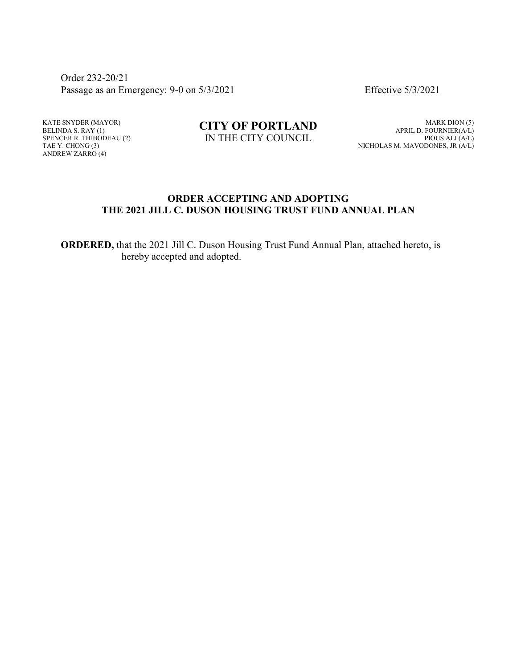Order 232-20/21 Passage as an Emergency: 9-0 on  $5/3/2021$  Effective  $5/3/2021$ 

KATE SNYDER (MAYOR) BELINDA S. RAY (1) SPENCER R. THIBODEAU (2) TAE Y. CHONG (3) ANDREW ZARRO (4)

**CITY OF PORTLAND** IN THE CITY COUNCIL

MARK DION (5) APRIL D. FOURNIER(A/L) PIOUS ALI (A/L) NICHOLAS M. MAVODONES, JR (A/L)

## **ORDER ACCEPTING AND ADOPTING THE 2021 JILL C. DUSON HOUSING TRUST FUND ANNUAL PLAN**

**ORDERED,** that the 2021 Jill C. Duson Housing Trust Fund Annual Plan, attached hereto, is hereby accepted and adopted.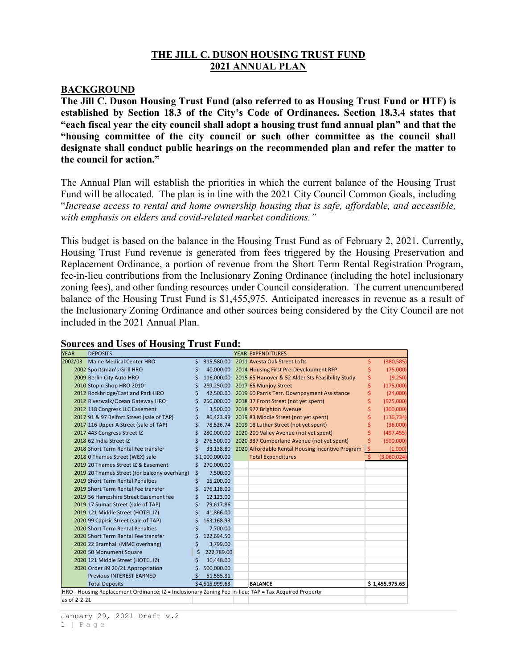## **THE JILL C. DUSON HOUSING TRUST FUND 2021 ANNUAL PLAN**

#### **BACKGROUND**

**The Jill C. Duson Housing Trust Fund (also referred to as Housing Trust Fund or HTF) is established by Section 18.3 of the City's Code of Ordinances. Section 18.3.4 states that "each fiscal year the city council shall adopt a housing trust fund annual plan" and that the "housing committee of the city council or such other committee as the council shall designate shall conduct public hearings on the recommended plan and refer the matter to the council for action."**

The Annual Plan will establish the priorities in which the current balance of the Housing Trust Fund will be allocated. The plan is in line with the 2021 City Council Common Goals, including "*Increase access to rental and home ownership housing that is safe, affordable, and accessible, with emphasis on elders and covid-related market conditions."*

This budget is based on the balance in the Housing Trust Fund as of February 2, 2021. Currently, Housing Trust Fund revenue is generated from fees triggered by the Housing Preservation and Replacement Ordinance, a portion of revenue from the Short Term Rental Registration Program, fee-in-lieu contributions from the Inclusionary Zoning Ordinance (including the hotel inclusionary zoning fees), and other funding resources under Council consideration. The current unencumbered balance of the Housing Trust Fund is \$1,455,975. Anticipated increases in revenue as a result of the Inclusionary Zoning Ordinance and other sources being considered by the City Council are not included in the 2021 Annual Plan.

| <b>YEAR</b>                                                                                            | <b>DEPOSITS</b>                              |    |                |  | <b>YEAR EXPENDITURES</b>                                    |     |                |
|--------------------------------------------------------------------------------------------------------|----------------------------------------------|----|----------------|--|-------------------------------------------------------------|-----|----------------|
| 2002/03                                                                                                | Maine Medical Center HRO                     | \$ |                |  | 315,580.00 2011 Avesta Oak Street Lofts                     | Ś   | (380, 585)     |
|                                                                                                        | 2002 Sportsman's Grill HRO                   | \$ |                |  | 40,000.00 2014 Housing First Pre-Development RFP            |     | (75,000)       |
|                                                                                                        | 2009 Berlin City Auto HRO                    | Ś  |                |  | 116,000.00 2015 65 Hanover & 52 Alder Sts Feasibility Study | \$  | (9,250)        |
|                                                                                                        | 2010 Stop n Shop HRO 2010                    |    |                |  | 289,250.00 2017 65 Munjoy Street                            | \$  | (175,000)      |
|                                                                                                        | 2012 Rockbridge/Eastland Park HRO            |    |                |  | 42,500.00 2019 60 Parris Terr. Downpayment Assistance       | \$  | (24,000)       |
|                                                                                                        | 2012 Riverwalk/Ocean Gateway HRO             | \$ |                |  | 250,000.00 2018 37 Front Street (not yet spent)             | \$  | (925,000)      |
|                                                                                                        | 2012 118 Congress LLC Easement               | S  |                |  | 3,500.00 2018 977 Brighton Avenue                           | Ś   | (300,000)      |
|                                                                                                        | 2017 91 & 97 Belfort Street (sale of TAP)    |    |                |  | 86,423.99 2019 83 Middle Street (not yet spent)             |     | (136, 734)     |
|                                                                                                        | 2017 116 Upper A Street (sale of TAP)        |    |                |  | 78,526.74 2019 18 Luther Street (not yet spent)             |     | (36,000)       |
|                                                                                                        | 2017 443 Congress Street IZ                  |    |                |  | 280,000.00 2020 200 Valley Avenue (not yet spent)           | Ś   | (497, 455)     |
|                                                                                                        | 2018 62 India Street IZ                      | Ś  |                |  | 276,500.00 2020 337 Cumberland Avenue (not yet spent)       | Ś   | (500,000)      |
|                                                                                                        | 2018 Short Term Rental Fee transfer          |    |                |  | 33,138.80 2020 Affordable Rental Housing Incentive Program  | IS. | (1,000)        |
|                                                                                                        | 2018 0 Thames Street (WEX) sale              |    | \$1,000,000.00 |  | <b>Total Expenditures</b>                                   |     | (3,060,024)    |
|                                                                                                        | 2019 20 Thames Street IZ & Easement          | Ś  | 270,000.00     |  |                                                             |     |                |
|                                                                                                        | 2019 20 Thames Street (for balcony overhang) | Ś. | 7,500.00       |  |                                                             |     |                |
|                                                                                                        | 2019 Short Term Rental Penalties             |    | 15,200.00      |  |                                                             |     |                |
|                                                                                                        | 2019 Short Term Rental Fee transfer          | S  | 176,118.00     |  |                                                             |     |                |
|                                                                                                        | 2019 56 Hampshire Street Easement fee        | \$ | 12,123.00      |  |                                                             |     |                |
|                                                                                                        | 2019 17 Sumac Street (sale of TAP)           | Ś  | 79,617.86      |  |                                                             |     |                |
|                                                                                                        | 2019 121 Middle Street (HOTEL IZ)            | Ś  | 41,866.00      |  |                                                             |     |                |
|                                                                                                        | 2020 99 Capisic Street (sale of TAP)         | \$ | 163,168.93     |  |                                                             |     |                |
|                                                                                                        | 2020 Short Term Rental Penalties             | Ś  | 7,700.00       |  |                                                             |     |                |
|                                                                                                        | 2020 Short Term Rental Fee transfer          | Ś  | 122,694.50     |  |                                                             |     |                |
|                                                                                                        | 2020 22 Bramhall (MMC overhang)              | Ś  | 3,799.00       |  |                                                             |     |                |
|                                                                                                        | 2020 50 Monument Square                      | \$ | 222,789.00     |  |                                                             |     |                |
|                                                                                                        | 2020 121 Middle Street (HOTEL IZ)            |    | 30,448.00      |  |                                                             |     |                |
|                                                                                                        | 2020 Order 89 20/21 Appropriation            | S  | 500,000.00     |  |                                                             |     |                |
|                                                                                                        | <b>Previous INTEREST EARNED</b>              |    | 51,555.81      |  |                                                             |     |                |
|                                                                                                        | <b>Total Deposits</b>                        |    | \$4,515,999.63 |  | <b>BALANCE</b>                                              |     | \$1,455,975.63 |
| HRO - Housing Replacement Ordinance; IZ = Inclusionary Zoning Fee-in-lieu; TAP = Tax Acquired Property |                                              |    |                |  |                                                             |     |                |
| as of 2-2-21                                                                                           |                                              |    |                |  |                                                             |     |                |

#### **Sources and Uses of Housing Trust Fund:**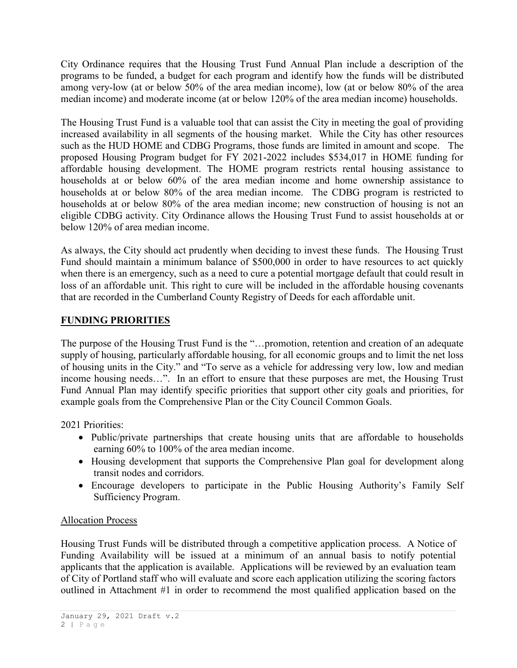City Ordinance requires that the Housing Trust Fund Annual Plan include a description of the programs to be funded, a budget for each program and identify how the funds will be distributed among very-low (at or below 50% of the area median income), low (at or below 80% of the area median income) and moderate income (at or below 120% of the area median income) households.

The Housing Trust Fund is a valuable tool that can assist the City in meeting the goal of providing increased availability in all segments of the housing market. While the City has other resources such as the HUD HOME and CDBG Programs, those funds are limited in amount and scope. The proposed Housing Program budget for FY 2021-2022 includes \$534,017 in HOME funding for affordable housing development. The HOME program restricts rental housing assistance to households at or below 60% of the area median income and home ownership assistance to households at or below 80% of the area median income. The CDBG program is restricted to households at or below 80% of the area median income; new construction of housing is not an eligible CDBG activity. City Ordinance allows the Housing Trust Fund to assist households at or below 120% of area median income.

As always, the City should act prudently when deciding to invest these funds. The Housing Trust Fund should maintain a minimum balance of \$500,000 in order to have resources to act quickly when there is an emergency, such as a need to cure a potential mortgage default that could result in loss of an affordable unit. This right to cure will be included in the affordable housing covenants that are recorded in the Cumberland County Registry of Deeds for each affordable unit.

## **FUNDING PRIORITIES**

The purpose of the Housing Trust Fund is the "…promotion, retention and creation of an adequate supply of housing, particularly affordable housing, for all economic groups and to limit the net loss of housing units in the City." and "To serve as a vehicle for addressing very low, low and median income housing needs…". In an effort to ensure that these purposes are met, the Housing Trust Fund Annual Plan may identify specific priorities that support other city goals and priorities, for example goals from the Comprehensive Plan or the City Council Common Goals.

2021 Priorities:

- Public/private partnerships that create housing units that are affordable to households earning 60% to 100% of the area median income.
- Housing development that supports the Comprehensive Plan goal for development along transit nodes and corridors.
- Encourage developers to participate in the Public Housing Authority's Family Self Sufficiency Program.

## Allocation Process

Housing Trust Funds will be distributed through a competitive application process. A Notice of Funding Availability will be issued at a minimum of an annual basis to notify potential applicants that the application is available. Applications will be reviewed by an evaluation team of City of Portland staff who will evaluate and score each application utilizing the scoring factors outlined in Attachment #1 in order to recommend the most qualified application based on the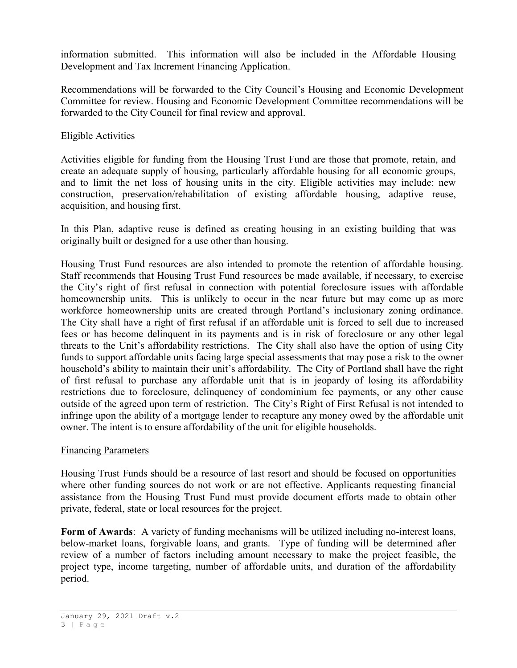information submitted. This information will also be included in the Affordable Housing Development and Tax Increment Financing Application.

Recommendations will be forwarded to the City Council's Housing and Economic Development Committee for review. Housing and Economic Development Committee recommendations will be forwarded to the City Council for final review and approval.

## Eligible Activities

Activities eligible for funding from the Housing Trust Fund are those that promote, retain, and create an adequate supply of housing, particularly affordable housing for all economic groups, and to limit the net loss of housing units in the city. Eligible activities may include: new construction, preservation/rehabilitation of existing affordable housing, adaptive reuse, acquisition, and housing first.

In this Plan, adaptive reuse is defined as creating housing in an existing building that was originally built or designed for a use other than housing.

Housing Trust Fund resources are also intended to promote the retention of affordable housing. Staff recommends that Housing Trust Fund resources be made available, if necessary, to exercise the City's right of first refusal in connection with potential foreclosure issues with affordable homeownership units. This is unlikely to occur in the near future but may come up as more workforce homeownership units are created through Portland's inclusionary zoning ordinance. The City shall have a right of first refusal if an affordable unit is forced to sell due to increased fees or has become delinquent in its payments and is in risk of foreclosure or any other legal threats to the Unit's affordability restrictions. The City shall also have the option of using City funds to support affordable units facing large special assessments that may pose a risk to the owner household's ability to maintain their unit's affordability. The City of Portland shall have the right of first refusal to purchase any affordable unit that is in jeopardy of losing its affordability restrictions due to foreclosure, delinquency of condominium fee payments, or any other cause outside of the agreed upon term of restriction. The City's Right of First Refusal is not intended to infringe upon the ability of a mortgage lender to recapture any money owed by the affordable unit owner. The intent is to ensure affordability of the unit for eligible households.

#### Financing Parameters

Housing Trust Funds should be a resource of last resort and should be focused on opportunities where other funding sources do not work or are not effective. Applicants requesting financial assistance from the Housing Trust Fund must provide document efforts made to obtain other private, federal, state or local resources for the project.

**Form of Awards**: A variety of funding mechanisms will be utilized including no-interest loans, below-market loans, forgivable loans, and grants. Type of funding will be determined after review of a number of factors including amount necessary to make the project feasible, the project type, income targeting, number of affordable units, and duration of the affordability period.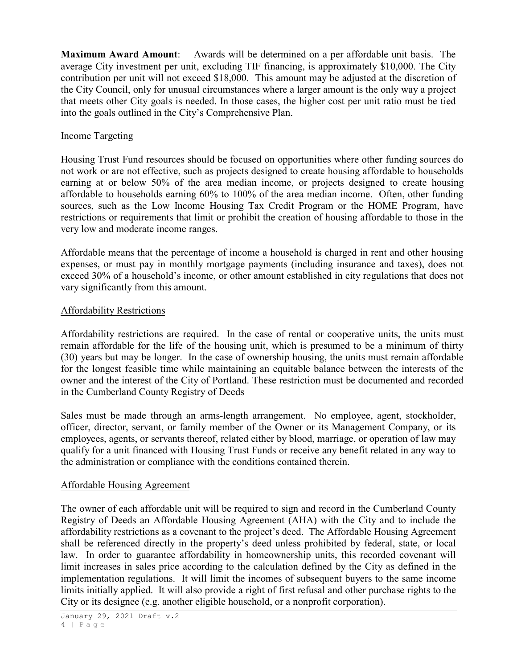**Maximum Award Amount**: Awards will be determined on a per affordable unit basis. The average City investment per unit, excluding TIF financing, is approximately \$10,000. The City contribution per unit will not exceed \$18,000. This amount may be adjusted at the discretion of the City Council, only for unusual circumstances where a larger amount is the only way a project that meets other City goals is needed. In those cases, the higher cost per unit ratio must be tied into the goals outlined in the City's Comprehensive Plan.

## Income Targeting

Housing Trust Fund resources should be focused on opportunities where other funding sources do not work or are not effective, such as projects designed to create housing affordable to households earning at or below 50% of the area median income, or projects designed to create housing affordable to households earning 60% to 100% of the area median income. Often, other funding sources, such as the Low Income Housing Tax Credit Program or the HOME Program, have restrictions or requirements that limit or prohibit the creation of housing affordable to those in the very low and moderate income ranges.

Affordable means that the percentage of income a household is charged in rent and other housing expenses, or must pay in monthly mortgage payments (including insurance and taxes), does not exceed 30% of a household's income, or other amount established in city regulations that does not vary significantly from this amount.

## Affordability Restrictions

Affordability restrictions are required. In the case of rental or cooperative units, the units must remain affordable for the life of the housing unit, which is presumed to be a minimum of thirty (30) years but may be longer. In the case of ownership housing, the units must remain affordable for the longest feasible time while maintaining an equitable balance between the interests of the owner and the interest of the City of Portland. These restriction must be documented and recorded in the Cumberland County Registry of Deeds

Sales must be made through an arms-length arrangement. No employee, agent, stockholder, officer, director, servant, or family member of the Owner or its Management Company, or its employees, agents, or servants thereof, related either by blood, marriage, or operation of law may qualify for a unit financed with Housing Trust Funds or receive any benefit related in any way to the administration or compliance with the conditions contained therein.

#### Affordable Housing Agreement

The owner of each affordable unit will be required to sign and record in the Cumberland County Registry of Deeds an Affordable Housing Agreement (AHA) with the City and to include the affordability restrictions as a covenant to the project's deed. The Affordable Housing Agreement shall be referenced directly in the property's deed unless prohibited by federal, state, or local law. In order to guarantee affordability in homeownership units, this recorded covenant will limit increases in sales price according to the calculation defined by the City as defined in the implementation regulations. It will limit the incomes of subsequent buyers to the same income limits initially applied. It will also provide a right of first refusal and other purchase rights to the City or its designee (e.g. another eligible household, or a nonprofit corporation).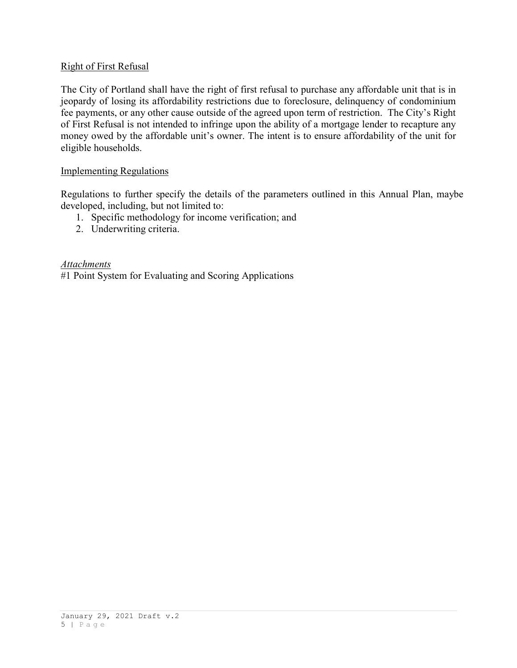## Right of First Refusal

The City of Portland shall have the right of first refusal to purchase any affordable unit that is in jeopardy of losing its affordability restrictions due to foreclosure, delinquency of condominium fee payments, or any other cause outside of the agreed upon term of restriction. The City's Right of First Refusal is not intended to infringe upon the ability of a mortgage lender to recapture any money owed by the affordable unit's owner. The intent is to ensure affordability of the unit for eligible households.

## Implementing Regulations

Regulations to further specify the details of the parameters outlined in this Annual Plan, maybe developed, including, but not limited to:

- 1. Specific methodology for income verification; and
- 2. Underwriting criteria.

*Attachments* #1 Point System for Evaluating and Scoring Applications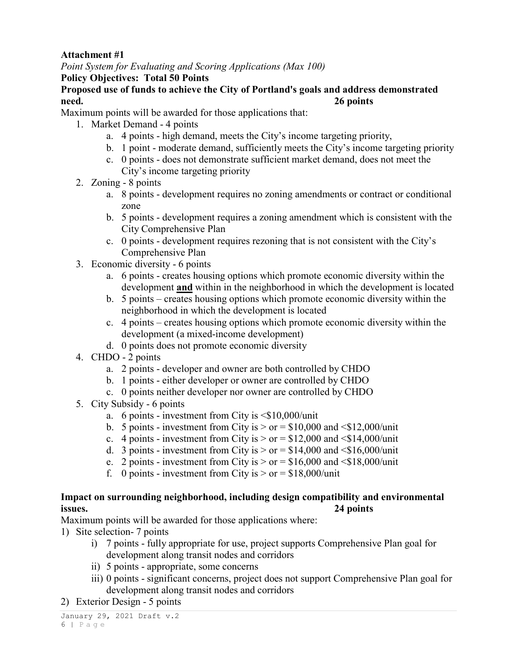## **Attachment #1**

*Point System for Evaluating and Scoring Applications (Max 100)*

## **Policy Objectives: Total 50 Points**

## **Proposed use of funds to achieve the City of Portland's goals and address demonstrated need. 26 points**

Maximum points will be awarded for those applications that:

- 1. Market Demand 4 points
	- a. 4 points high demand, meets the City's income targeting priority,
	- b. 1 point moderate demand, sufficiently meets the City's income targeting priority
	- c. 0 points does not demonstrate sufficient market demand, does not meet the City's income targeting priority
- 2. Zoning 8 points
	- a. 8 points development requires no zoning amendments or contract or conditional zone
	- b. 5 points development requires a zoning amendment which is consistent with the City Comprehensive Plan
	- c. 0 points development requires rezoning that is not consistent with the City's Comprehensive Plan
- 3. Economic diversity 6 points
	- a. 6 points creates housing options which promote economic diversity within the development **and** within in the neighborhood in which the development is located
	- b. 5 points creates housing options which promote economic diversity within the neighborhood in which the development is located
	- c. 4 points creates housing options which promote economic diversity within the development (a mixed-income development)
	- d. 0 points does not promote economic diversity
- 4. CHDO 2 points
	- a. 2 points developer and owner are both controlled by CHDO
	- b. 1 points either developer or owner are controlled by CHDO
	- c. 0 points neither developer nor owner are controlled by CHDO
- 5. City Subsidy 6 points
	- a. 6 points investment from City is  $\leq$ \$10,000/unit
	- b. 5 points investment from City is  $>$  or = \$10,000 and  $\leq$ \$12,000/unit
	- c. 4 points investment from City is  $>$  or = \$12,000 and  $\le$ \$14,000/unit
	- d. 3 points investment from City is  $>$  or = \$14,000 and <\$16,000/unit
	- e. 2 points investment from City is  $>$  or = \$16,000 and <\$18,000/unit
	- f. 0 points investment from City is  $>$  or = \$18,000/unit

## **Impact on surrounding neighborhood, including design compatibility and environmental issues. 24 points**

Maximum points will be awarded for those applications where:

- 1) Site selection- 7 points
	- i) 7 points fully appropriate for use, project supports Comprehensive Plan goal for development along transit nodes and corridors
	- ii) 5 points appropriate, some concerns
	- iii) 0 points significant concerns, project does not support Comprehensive Plan goal for development along transit nodes and corridors
- 2) Exterior Design 5 points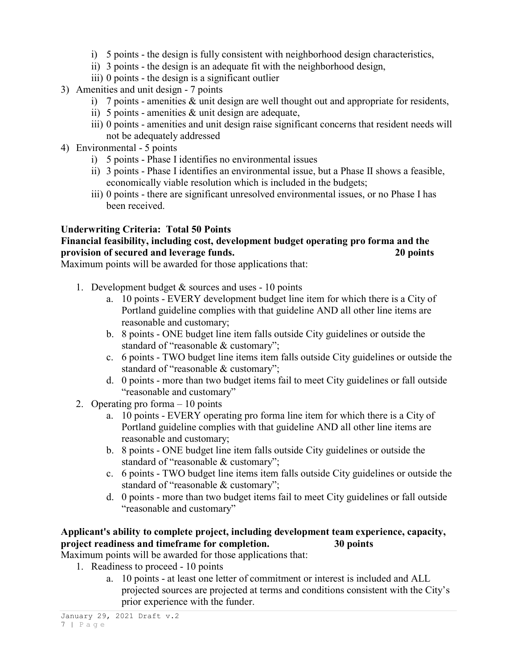- i) 5 points the design is fully consistent with neighborhood design characteristics,
- ii) 3 points the design is an adequate fit with the neighborhood design,
- iii) 0 points the design is a significant outlier
- 3) Amenities and unit design 7 points
	- i) 7 points amenities & unit design are well thought out and appropriate for residents,
	- ii) 5 points amenities  $\&$  unit design are adequate,
	- iii) 0 points amenities and unit design raise significant concerns that resident needs will not be adequately addressed
- 4) Environmental 5 points
	- i) 5 points Phase I identifies no environmental issues
	- ii) 3 points Phase I identifies an environmental issue, but a Phase II shows a feasible, economically viable resolution which is included in the budgets;
	- iii) 0 points there are significant unresolved environmental issues, or no Phase I has been received.

## **Underwriting Criteria: Total 50 Points**

## **Financial feasibility, including cost, development budget operating pro forma and the provision of secured and leverage funds. 20 points**

Maximum points will be awarded for those applications that:

- 1. Development budget  $&$  sources and uses 10 points
	- a. 10 points EVERY development budget line item for which there is a City of Portland guideline complies with that guideline AND all other line items are reasonable and customary;
	- b. 8 points ONE budget line item falls outside City guidelines or outside the standard of "reasonable & customary";
	- c. 6 points TWO budget line items item falls outside City guidelines or outside the standard of "reasonable & customary";
	- d. 0 points more than two budget items fail to meet City guidelines or fall outside "reasonable and customary"
- 2. Operating pro forma 10 points
	- a. 10 points EVERY operating pro forma line item for which there is a City of Portland guideline complies with that guideline AND all other line items are reasonable and customary;
	- b. 8 points ONE budget line item falls outside City guidelines or outside the standard of "reasonable & customary";
	- c. 6 points TWO budget line items item falls outside City guidelines or outside the standard of "reasonable & customary";
	- d. 0 points more than two budget items fail to meet City guidelines or fall outside "reasonable and customary"

# **Applicant's ability to complete project, including development team experience, capacity, project readiness and timeframe for completion. 30 points**

- Maximum points will be awarded for those applications that:
	- 1. Readiness to proceed 10 points
		- a. 10 points at least one letter of commitment or interest is included and ALL projected sources are projected at terms and conditions consistent with the City's prior experience with the funder.